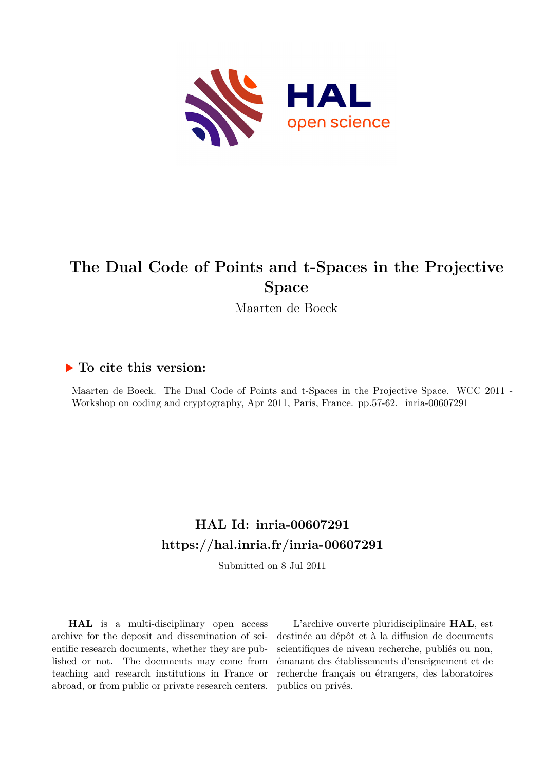

# **The Dual Code of Points and t-Spaces in the Projective Space**

Maarten de Boeck

## **To cite this version:**

Maarten de Boeck. The Dual Code of Points and t-Spaces in the Projective Space. WCC 2011 - Workshop on coding and cryptography, Apr 2011, Paris, France. pp.57-62. inria-00607291

# **HAL Id: inria-00607291 <https://hal.inria.fr/inria-00607291>**

Submitted on 8 Jul 2011

**HAL** is a multi-disciplinary open access archive for the deposit and dissemination of scientific research documents, whether they are published or not. The documents may come from teaching and research institutions in France or abroad, or from public or private research centers.

L'archive ouverte pluridisciplinaire **HAL**, est destinée au dépôt et à la diffusion de documents scientifiques de niveau recherche, publiés ou non, émanant des établissements d'enseignement et de recherche français ou étrangers, des laboratoires publics ou privés.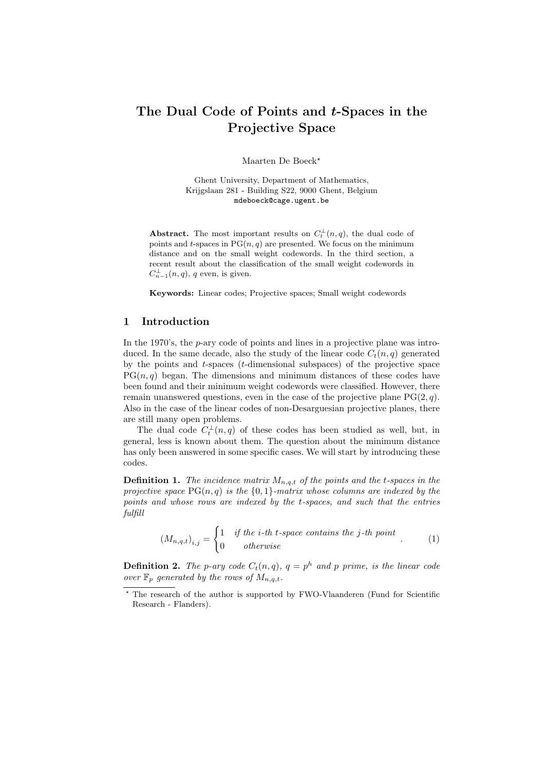## The Dual Code of Points and t-Spaces in the Projective Space

Maarten De Boeck<sup>\*</sup>

Ghent University, Department of Mathematics, Krijgslaan 281 - Building S22, 9000 Ghent, Belgium mdeboeck@cage.ugent.be

**Abstract.** The most important results on  $C_t^{\perp}(n,q)$ , the dual code of points and t-spaces in  $PG(n, q)$  are presented. We focus on the minimum distance and on the small weight codewords. In the third section, a recent result about the classification of the small weight codewords in  $C_{n-1}^{\perp}(n,q)$ , q even, is given.

Keywords: Linear codes; Projective spaces; Small weight codewords

#### 1 Introduction

In the 1970's, the p-ary code of points and lines in a projective plane was introduced. In the same decade, also the study of the linear code  $C_t(n,q)$  generated by the points and  $t$ -spaces ( $t$ -dimensional subspaces) of the projective space  $PG(n, q)$  began. The dimensions and minimum distances of these codes have been found and their minimum weight codewords were classified. However, there remain unanswered questions, even in the case of the projective plane  $PG(2, q)$ . Also in the case of the linear codes of non-Desarguesian projective planes, there are still many open problems.

The dual code  $C_t^{\perp}(n,q)$  of these codes has been studied as well, but, in general, less is known about them. The question about the minimum distance has only been answered in some specific cases. We will start by introducing these codes.

**Definition 1.** *The incidence matrix*  $M_{n,q,t}$  *of the points and the t-spaces in the projective space*  $PG(n, q)$  *is the*  $\{0, 1\}$ *-matrix whose columns are indexed by the points and whose rows are indexed by the* t*-spaces, and such that the entries fulfill*

$$
(M_{n,q,t})_{i,j} = \begin{cases} 1 & \text{if the } i\text{-th } t\text{-space contains the } j\text{-th point} \\ 0 & \text{otherwise} \end{cases} \tag{1}
$$

**Definition 2.** The p-ary code  $C_t(n,q)$ ,  $q = p^h$  and p prime, is the linear code *over*  $\mathbb{F}_p$  *generated by the rows of*  $M_{n,q,t}$ *.* 

<sup>⋆</sup> The research of the author is supported by FWO-Vlaanderen (Fund for Scientific Research - Flanders).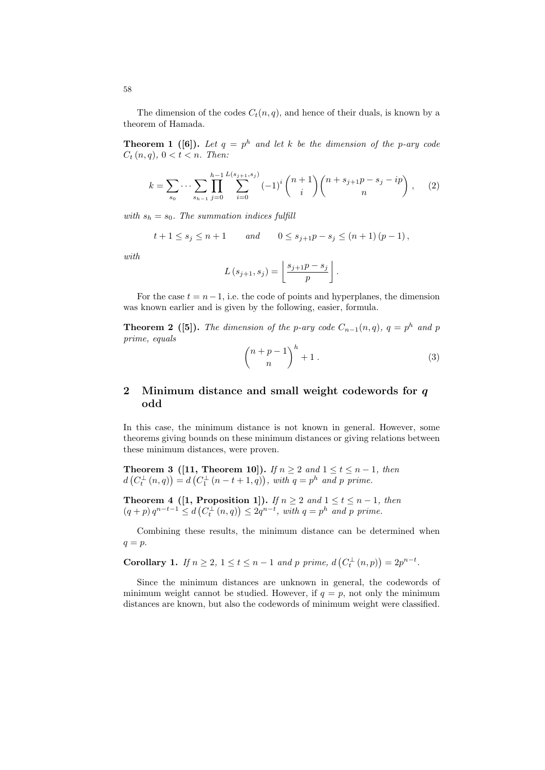The dimension of the codes  $C_t(n, q)$ , and hence of their duals, is known by a theorem of Hamada.

**Theorem 1** ([6]). Let  $q = p^h$  and let k be the dimension of the p-ary code  $C_t(n,q), 0 < t < n.$  Then:

$$
k = \sum_{s_0} \cdots \sum_{s_{h-1}} \prod_{j=0}^{h-1} \sum_{i=0}^{L(s_{j+1}, s_j)} (-1)^i {n+1 \choose i} {n+s_{j+1}p-s_j - ip \choose n}, \quad (2)
$$

*with*  $s_h = s_0$ *. The summation indices fulfill* 

$$
t+1 \leq s_j \leq n+1
$$
 and  $0 \leq s_{j+1}p - s_j \leq (n+1)(p-1)$ ,

*with*

$$
L(s_{j+1}, s_j) = \left\lfloor \frac{s_{j+1}p - s_j}{p} \right\rfloor.
$$

For the case  $t = n-1$ , i.e. the code of points and hyperplanes, the dimension was known earlier and is given by the following, easier, formula.

**Theorem 2** ([5]). The dimension of the p-ary code  $C_{n-1}(n,q)$ ,  $q = p^h$  and p *prime, equals*

$$
\binom{n+p-1}{n}^h + 1 \tag{3}
$$

### 2 Minimum distance and small weight codewords for q odd

In this case, the minimum distance is not known in general. However, some theorems giving bounds on these minimum distances or giving relations between these minimum distances, were proven.

**Theorem 3** ([11, **Theorem 10**]). *If*  $n \geq 2$  *and*  $1 \leq t \leq n-1$ , *then*  $d(C_t^{\perp}(n,q)) = d(C_1^{\perp}(n-t+1,q)),$  with  $q = p^h$  and p prime.

**Theorem 4** ([1, Proposition 1]). *If*  $n \geq 2$  *and*  $1 \leq t \leq n-1$ *, then*  $(q+p) q^{n-t-1} \leq d(C_t^{\perp}(n,q)) \leq 2q^{n-t}, \text{ with } q = p^h \text{ and } p \text{ prime}.$ 

Combining these results, the minimum distance can be determined when  $q = p$ .

Corollary 1. *If*  $n \ge 2$ ,  $1 \le t \le n-1$  *and p prime,*  $d(C_t^{\perp}(n, p)) = 2p^{n-t}$ *.* 

Since the minimum distances are unknown in general, the codewords of minimum weight cannot be studied. However, if  $q = p$ , not only the minimum distances are known, but also the codewords of minimum weight were classified.

58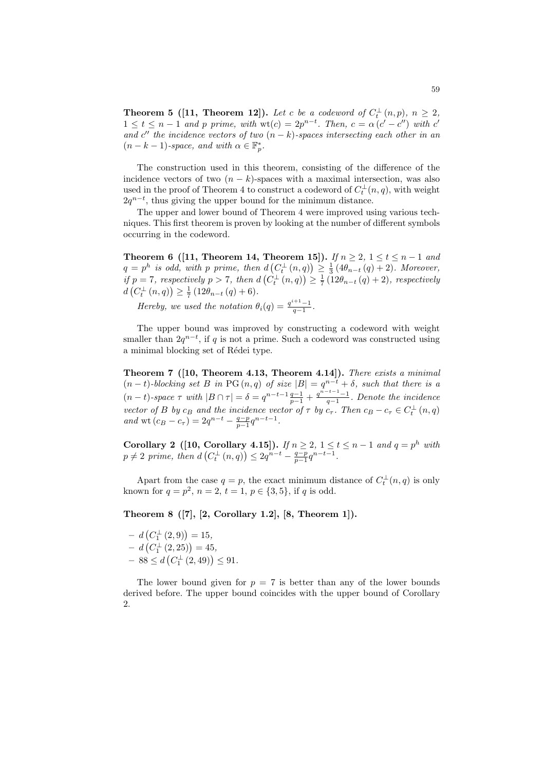**Theorem 5** ([11, **Theorem 12**]). Let c be a codeword of  $C_t^{\perp}(n, p)$ ,  $n \geq 2$ ,  $1 \leq t \leq n-1$  *and* p prime, with wt(c) = 2p<sup>n-t</sup>. Then, c =  $\alpha(c'-c'')$  with c' and  $c''$  the incidence vectors of two  $(n - k)$ *-spaces intersecting each other in an*  $(n - k - 1)$ -space, and with  $\alpha \in \mathbb{F}_p^*$ .

The construction used in this theorem, consisting of the difference of the incidence vectors of two  $(n - k)$ -spaces with a maximal intersection, was also used in the proof of Theorem 4 to construct a codeword of  $C_t^{\perp}(n,q)$ , with weight  $2q^{n-t}$ , thus giving the upper bound for the minimum distance.

The upper and lower bound of Theorem 4 were improved using various techniques. This first theorem is proven by looking at the number of different symbols occurring in the codeword.

**Theorem 6** ([11, Theorem 14, Theorem 15]). *If*  $n \ge 2$ ,  $1 \le t \le n-1$  *and*  $q = p^h$  is odd, with p prime, then  $d(C_t^{\perp}(n,q)) \geq \frac{1}{3}(4\theta_{n-t}(q)+2)$ . Moreover, *if*  $p = 7$ *, respectively*  $p > 7$ *, then*  $d\left(\hat{C}_{t}^{\perp}(n,q)\right) \geq \frac{1}{7}\left(12\theta_{n-t}(q)+2\right)$ *, respectively*  $d(C_t^{\perp}(n,q)) \geq \frac{1}{7} (12\theta_{n-t}(q) + 6).$ 

*Hereby, we used the notation*  $\theta_i(q) = \frac{q^{i+1}-1}{q-1}$ .

The upper bound was improved by constructing a codeword with weight smaller than  $2q^{n-t}$ , if q is not a prime. Such a codeword was constructed using a minimal blocking set of Rédei type.

Theorem 7 ([10, Theorem 4.13, Theorem 4.14]). *There exists a minimal*  $(n - t)$ *-blocking set* B *in* PG  $(n, q)$  *of size*  $|B| = q^{n-t} + \delta$ *, such that there is a*  $(n-t)$ -space  $\tau$  with  $|B \cap \tau| = \delta = q^{n-t-1} \frac{q-1}{p-1} + \frac{q^{n-t-1}-1}{q-1}$ . Denote the incidence *vector of* B *by*  $c_B$  *and the incidence vector of*  $\tau$  *by*  $c_{\tau}$ *. Then*  $c_B - c_{\tau} \in C_t^{\perp}(n, q)$ *and* wt  $(c_B - c_\tau) = 2q^{n-t} - \frac{q-p}{p-1}q^{n-t-1}$ .

**Corollary 2** ([10, Corollary 4.15]). *If*  $n \ge 2$ ,  $1 \le t \le n-1$  *and*  $q = p^h$  *with*  $p \neq 2$  prime, then  $d(C_t^{\perp}(n,q)) \leq 2q^{n-t} - \frac{q-p}{p-1}q^{n-t-1}$ .

Apart from the case  $q = p$ , the exact minimum distance of  $C_t^{\perp}(n, q)$  is only known for  $q = p^2$ ,  $n = 2$ ,  $t = 1$ ,  $p \in \{3, 5\}$ , if q is odd.

Theorem 8  $([7], [2, Corollary 1.2], [8, Theorem 1]).$ 

$$
- d (C_1^{\perp} (2,9)) = 15,- d (C_1^{\perp} (2,25)) = 45,- 88 \le d (C_1^{\perp} (2,49)) \le 91.
$$

The lower bound given for  $p = 7$  is better than any of the lower bounds derived before. The upper bound coincides with the upper bound of Corollary 2.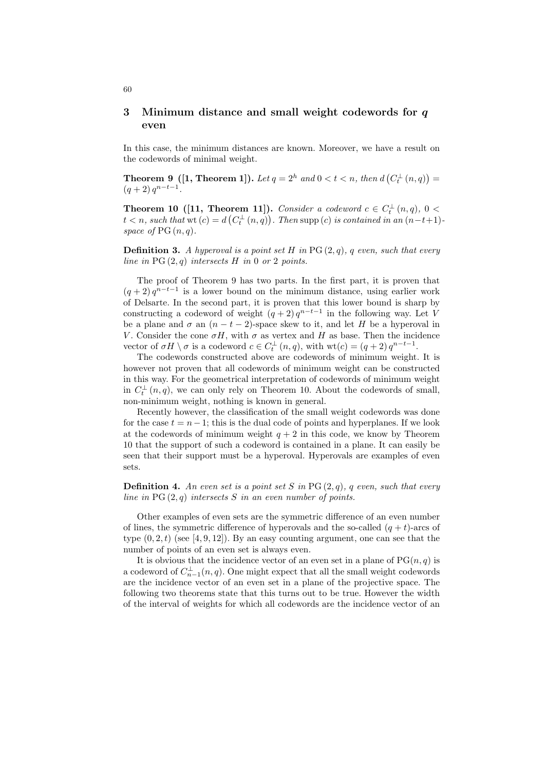### 3 Minimum distance and small weight codewords for q even

In this case, the minimum distances are known. Moreover, we have a result on the codewords of minimal weight.

**Theorem 9** ([1, **Theorem 1**]). Let  $q = 2^h$  and  $0 < t < n$ , then  $d(C_t^{\perp}(n, q)) =$  $(q+2) q^{n-t-1}$ .

**Theorem 10** ([11, **Theorem 11**]). *Consider a codeword*  $c \in C_t^{\perp}(n,q)$ ,  $0 <$  $t < n$ , such that wt  $(c) = d(C_t^{\perp}(n, q))$ . Then supp  $(c)$  is contained in an  $(n-t+1)$ *space of*  $PG(n, q)$ *.* 

Definition 3. *A hyperoval is a point set* H *in* PG (2, q)*,* q *even, such that every line in* PG (2, q) *intersects* H *in* 0 *or* 2 *points.*

The proof of Theorem 9 has two parts. In the first part, it is proven that  $(q + 2) q^{n-t-1}$  is a lower bound on the minimum distance, using earlier work of Delsarte. In the second part, it is proven that this lower bound is sharp by constructing a codeword of weight  $(q+2) q^{n-t-1}$  in the following way. Let V be a plane and  $\sigma$  an  $(n - t - 2)$ -space skew to it, and let H be a hyperoval in V. Consider the cone  $\sigma H$ , with  $\sigma$  as vertex and H as base. Then the incidence vector of  $\sigma H \setminus \sigma$  is a codeword  $c \in C_t^{\perp}(n, q)$ , with  $\text{wt}(c) = (q + 2) q^{n-t-1}$ .

The codewords constructed above are codewords of minimum weight. It is however not proven that all codewords of minimum weight can be constructed in this way. For the geometrical interpretation of codewords of minimum weight in  $C_t^{\perp}(n,q)$ , we can only rely on Theorem 10. About the codewords of small, non-minimum weight, nothing is known in general.

Recently however, the classification of the small weight codewords was done for the case  $t = n-1$ ; this is the dual code of points and hyperplanes. If we look at the codewords of minimum weight  $q + 2$  in this code, we know by Theorem 10 that the support of such a codeword is contained in a plane. It can easily be seen that their support must be a hyperoval. Hyperovals are examples of even sets.

Definition 4. *An even set is a point set* S *in* PG (2, q)*,* q *even, such that every line in* PG (2, q) *intersects* S *in an even number of points.*

Other examples of even sets are the symmetric difference of an even number of lines, the symmetric difference of hyperovals and the so-called  $(q + t)$ -arcs of type  $(0, 2, t)$  (see [4, 9, 12]). By an easy counting argument, one can see that the number of points of an even set is always even.

It is obvious that the incidence vector of an even set in a plane of  $PG(n, q)$  is a codeword of  $C_{n-1}^{\perp}(n,q)$ . One might expect that all the small weight codewords are the incidence vector of an even set in a plane of the projective space. The following two theorems state that this turns out to be true. However the width of the interval of weights for which all codewords are the incidence vector of an

60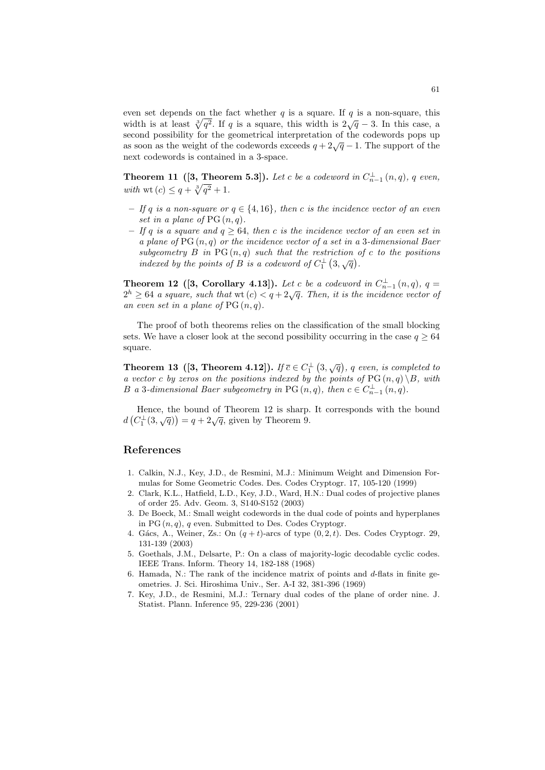even set depends on the fact whether  $q$  is a square. If  $q$  is a non-square, this width is at least  $\sqrt[3]{q^2}$ . If q is a square, this width is  $2\sqrt{q} - 3$ . In this case, a second possibility for the geometrical interpretation of the codewords pops up as soon as the weight of the codewords exceeds  $q + 2\sqrt{q} - 1$ . The support of the next codewords is contained in a 3-space.

**Theorem 11** ([3, Theorem 5.3]). Let c be a codeword in  $C_{n-1}^{\perp}(n,q)$ , q even, *with* wt  $(c) \leq q + \sqrt[3]{q^2} + 1$ .

- *If* q *is a non-square or* q ∈ {4, 16}*, then* c *is the incidence vector of an even set in a plane of*  $PG(n,q)$ .
- $−$  *If* q *is a square and*  $q ≥ 64$ *, then c is the incidence vector of an even set in a plane of* PG (n, q) *or the incidence vector of a set in a* 3*-dimensional Baer* subgeometry  $B$  in  $PG(n, q)$  such that the restriction of  $c$  to the positions *indexed by the points of B is a codeword of*  $C_1^{\perp}$   $(3,\sqrt{q})$ .

**Theorem 12** ([3, Corollary 4.13]). Let c be a codeword in  $C_{n-1}^{\perp}(n,q)$ ,  $q =$  $2^h \geq 64$  *a square, such that* wt $(c) < q + 2\sqrt{q}$ . Then, it is the incidence vector of *an even set in a plane of*  $PG(n, q)$ *.* 

The proof of both theorems relies on the classification of the small blocking sets. We have a closer look at the second possibility occurring in the case  $q > 64$ square.

**Theorem 13** ([3, Theorem 4.12]). *If*  $\overline{c} \in C_1^{\perp}$  (3,  $\sqrt{q}$ ), q even, is completed to *a vector* c by zeros on the positions indexed by the points of PG  $(n, q) \ B$ , with B a 3-dimensional Baer subgeometry in PG  $(n, q)$ , then  $c \in C_{n-1}^{\perp}(n, q)$ .

Hence, the bound of Theorem 12 is sharp. It corresponds with the bound  $d(C_1^{\perp}(3,\sqrt{q})) = q + 2\sqrt{q}$ , given by Theorem 9.

#### References

- 1. Calkin, N.J., Key, J.D., de Resmini, M.J.: Minimum Weight and Dimension Formulas for Some Geometric Codes. Des. Codes Cryptogr. 17, 105-120 (1999)
- 2. Clark, K.L., Hatfield, L.D., Key, J.D., Ward, H.N.: Dual codes of projective planes of order 25. Adv. Geom. 3, S140-S152 (2003)
- 3. De Boeck, M.: Small weight codewords in the dual code of points and hyperplanes in PG  $(n, q)$ , q even. Submitted to Des. Codes Cryptogr.
- 4. Gács, A., Weiner, Zs.: On  $(q + t)$ -arcs of type  $(0, 2, t)$ . Des. Codes Cryptogr. 29, 131-139 (2003)
- 5. Goethals, J.M., Delsarte, P.: On a class of majority-logic decodable cyclic codes. IEEE Trans. Inform. Theory 14, 182-188 (1968)
- 6. Hamada, N.: The rank of the incidence matrix of points and d-flats in finite geometries. J. Sci. Hiroshima Univ., Ser. A-I 32, 381-396 (1969)
- 7. Key, J.D., de Resmini, M.J.: Ternary dual codes of the plane of order nine. J. Statist. Plann. Inference 95, 229-236 (2001)